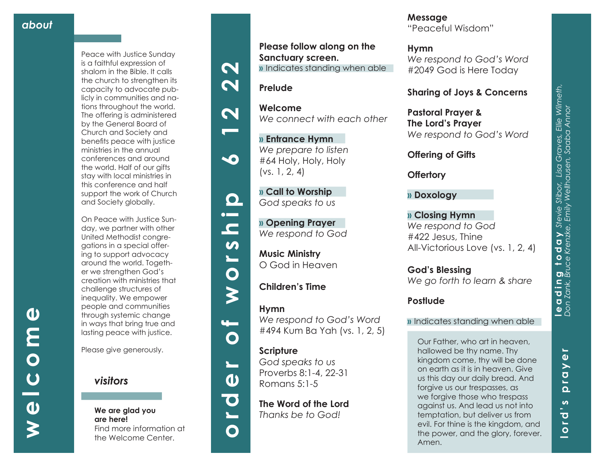**welcome**

 $\overline{U}$ 

 $\boldsymbol{\omega}$ 

 $\boldsymbol{\boldsymbol{\zeta}}$ 

 $\overline{\mathbf{O}}$ 

 $\boldsymbol{\omega}$ 

E

Peace with Justice Sunday is a faithful expression of shalom in the Bible. It calls the church to strengthen its capacity to advocate pub licly in communities and na tions throughout the world. The offering is administered by the General Board of Church and Society and benefits peace with justice ministries in the annual conferences and around the world. Half of our aifts stay with local ministries in this conference and half support the work of Church and Society globally.

On Peace with Justice Sun day, we partner with other United Methodist congre gations in a special offer ing to support advocacy around the world. Togeth er we strengthen God's creation with ministries that challenge structures of inequality. We empower people and communities through systemic change in ways that bring true and lasting peace with justice.

Please give generously.

# *visitors*

#### **We are glad you are here!** Find more information at the Welcome Center.

**Please follow along on the Sanctuary screen. »** Indicates standing when able

*We connect with each other* 

**Prelude**

**Welcome**

(vs. 1, 2, 4)



 $\boldsymbol{\mathsf{N}}$ 

 $\mathbf N$ 



 $\mathbf{z}$ 

 $\boldsymbol{\omega}$  $\blacksquare$ 

 $\bullet$ 

 $\geq$ 

 $\frac{1}{2}$ 

 $\mathbf O$ 

 $\blacktriangleright$ 

 $\boldsymbol{\omega}$ 

 $\bullet$ 

 $\overline{\phantom{0}}$ 

 $\mathbf O$ 



**» Call to Worship**  *God speaks to us*

**» Entrance Hymn**  *We prepare to listen* #64 Holy, Holy, Holy

**» Opening Prayer**  *We respond to God*

**Music Ministry**  O God in Heaven

**Children's Time** 

#### **Hymn**

*We respond to God's Word*  #494 Kum Ba Yah (vs. 1, 2, 5)

## **Scripture**

*God speaks to us* Proverbs 8:1-4, 22-31 Romans 5:1-5

**The Word of the Lord**  *Thanks be to God!*

**Message** "Peaceful Wisdom"

**Hymn**  *We respond to God's Word*  #2049 God is Here Today

### **Sharing of Joys & Concerns**

**Pastoral Prayer & The Lord's Prayer** *We respond to God's Word*

**Offering of Gifts** 

**Offertory**

**» Doxology**

**» Closing Hymn** *We respond to God* #422 Jesus, Thine All-Victorious Love (vs. 1, 2, 4)

**God's Blessing** *We go forth to learn & share*

### **Postlude**

### **»** Indicates standing when able

Our Father, who art in heaven, hallowed be thy name. Thy kingdom come, thy will be done on earth as it is in heaven. Give us this day our daily bread. And forgive us our trespasses, as we forgive those who trespass against us. And lead us not into temptation, but deliver us from evil. For thine is the kingdom, and the power, and the glory, forever. Amen.